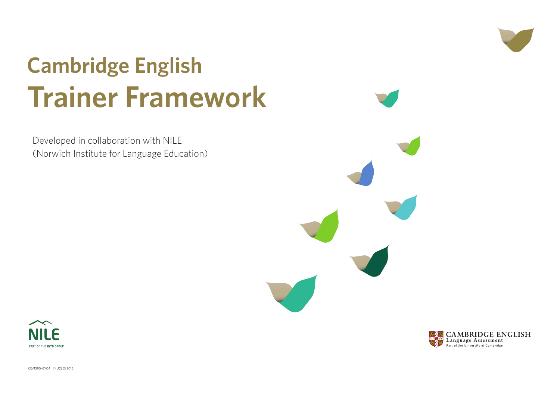CE/4390/6Y04 © UCLES 2016





Developed in collaboration with NILE (Norwich Institute for Language Education)





# **Cambridge English Trainer Framework**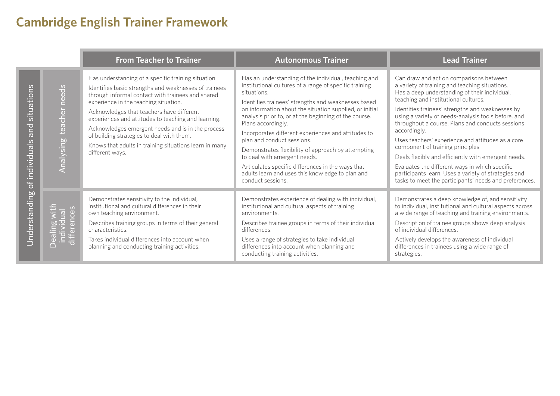d act on comparisons between training and teaching situations. understanding of their individual, d institutional cultures.

ainees' strengths and weaknesses by ety of needs-analysis tools before, and a course. Plans and conducts sessions

es' experience and attitudes as a core of training principles.

ly and efficiently with emergent needs.

e different ways in which specific learn. Uses a variety of strategies and et the participants' needs and preferences.

es a deep knowledge of, and sensitivity to institutional and cultural aspects across of teaching and training environments.

of trainee groups shows deep analysis differences.

relops the awareness of individual in trainees using a wide range of

|                                               | <b>From Teacher to Trainer</b>                                                                                                                                                                                                                                                                                                                                                                                                                                                                | <b>Autonomous Trainer</b>                                                                                                                                                                                                                                                                                                                                                                                                                                                                                                                                                                                                               |                                                                                                                                                                                                                                 |
|-----------------------------------------------|-----------------------------------------------------------------------------------------------------------------------------------------------------------------------------------------------------------------------------------------------------------------------------------------------------------------------------------------------------------------------------------------------------------------------------------------------------------------------------------------------|-----------------------------------------------------------------------------------------------------------------------------------------------------------------------------------------------------------------------------------------------------------------------------------------------------------------------------------------------------------------------------------------------------------------------------------------------------------------------------------------------------------------------------------------------------------------------------------------------------------------------------------------|---------------------------------------------------------------------------------------------------------------------------------------------------------------------------------------------------------------------------------|
| Analysing teacher needs                       | Has understanding of a specific training situation.<br>Identifies basic strengths and weaknesses of trainees<br>through informal contact with trainees and shared<br>experience in the teaching situation.<br>Acknowledges that teachers have different<br>experiences and attitudes to teaching and learning.<br>Acknowledges emergent needs and is in the process<br>of building strategies to deal with them.<br>Knows that adults in training situations learn in many<br>different ways. | Has an understanding of the individual, teaching and<br>institutional cultures of a range of specific training<br>situations.<br>Identifies trainees' strengths and weaknesses based<br>on information about the situation supplied, or initial<br>analysis prior to, or at the beginning of the course.<br>Plans accordingly.<br>Incorporates different experiences and attitudes to<br>plan and conduct sessions.<br>Demonstrates flexibility of approach by attempting<br>to deal with emergent needs.<br>Articulates specific differences in the ways that<br>adults learn and uses this knowledge to plan and<br>conduct sessions. | Can draw an<br>a variety of t<br>Has a deep u<br>teaching and<br>Identifies tra<br>using a varie<br>throughout a<br>accordingly.<br>Uses teache<br>component<br>Deals flexibly<br>Evaluates the<br>participants<br>tasks to mee |
| individual<br>differences<br>ealing<br>$\cap$ | Demonstrates sensitivity to the individual,<br>institutional and cultural differences in their<br>own teaching environment.<br>Describes training groups in terms of their general<br>characteristics.<br>Takes individual differences into account when<br>planning and conducting training activities.                                                                                                                                                                                      | Demonstrates experience of dealing with individual,<br>institutional and cultural aspects of training<br>environments.<br>Describes trainee groups in terms of their individual<br>differences.<br>Uses a range of strategies to take individual<br>differences into account when planning and<br>conducting training activities.                                                                                                                                                                                                                                                                                                       | Demonstrate<br>to individual<br>a wide range<br>Description<br>of individual<br>Actively dev<br>differences in<br>strategies.                                                                                                   |

# **Cambridge English Trainer Framework**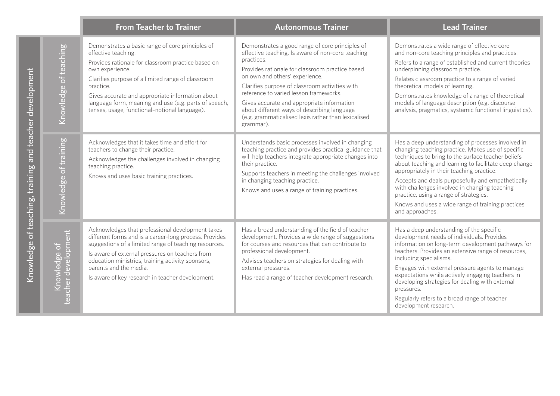Knowledge of teaching, training and teacher development

Knowledge of teaching, training and teacher development

#### **Lead Trainer**

- es a wide range of effective core e teaching principles and practices.
- ange of established and current theories g classroom practice.
- sroom practice to a range of varied nodels of learning.
- es knowledge of a range of theoretical nguage description (e.g. discourse anatics, systemic functional linguistics).

understanding of processes involved in aching practice. Makes use of specific to bring to the surface teacher beliefs ing and learning to facilitate deep change y in their teaching practice.

I deals purposefully and empathetically ges involved in changing teaching -<br>ng a range of strategies.

uses a wide range of training practices hes.

understanding of the specific t needs of individuals. Provides on long-term development pathways for  $\frac{1}{2}$  ovides an extensive range of resources, ecialisms.

h external pressure agents to manage s while actively engaging teachers in strategies for dealing with external

fers to a broad range of teacher research.

|                                                 | <b>From Teacher to Trainer</b>                                                                                                                                                                                                                                                                                                                                                   | <b>Autonomous Trainer</b>                                                                                                                                                                                                                                                                                                                                                                                                                                            |                                                                                                                                                                            |
|-------------------------------------------------|----------------------------------------------------------------------------------------------------------------------------------------------------------------------------------------------------------------------------------------------------------------------------------------------------------------------------------------------------------------------------------|----------------------------------------------------------------------------------------------------------------------------------------------------------------------------------------------------------------------------------------------------------------------------------------------------------------------------------------------------------------------------------------------------------------------------------------------------------------------|----------------------------------------------------------------------------------------------------------------------------------------------------------------------------|
| Knowledge of teaching                           | Demonstrates a basic range of core principles of<br>effective teaching.<br>Provides rationale for classroom practice based on<br>own experience.<br>Clarifies purpose of a limited range of classroom<br>practice.<br>Gives accurate and appropriate information about<br>language form, meaning and use (e.g. parts of speech,<br>tenses, usage, functional-notional language). | Demonstrates a good range of core principles of<br>effective teaching. Is aware of non-core teaching<br>practices.<br>Provides rationale for classroom practice based<br>on own and others' experience.<br>Clarifies purpose of classroom activities with<br>reference to varied lesson frameworks.<br>Gives accurate and appropriate information<br>about different ways of describing language<br>(e.g. grammaticalised lexis rather than lexicalised<br>grammar). | Demonstrate<br>and non-core<br>Refers to a ra<br>underpinning<br>Relates class<br>theoretical m<br>Demonstrate<br>models of lar<br>analysis, prag                          |
| Knowledge of training                           | Acknowledges that it takes time and effort for<br>teachers to change their practice.<br>Acknowledges the challenges involved in changing<br>teaching practice.<br>Knows and uses basic training practices.                                                                                                                                                                       | Understands basic processes involved in changing<br>teaching practice and provides practical guidance that<br>will help teachers integrate appropriate changes into<br>their practice.<br>Supports teachers in meeting the challenges involved<br>in changing teaching practice.<br>Knows and uses a range of training practices.                                                                                                                                    | Has a deep u<br>changing tea<br>techniques to<br>about teachi<br>appropriately<br>Accepts and<br>with challeng<br>practice, usir<br>Knows and u<br>and approac             |
| ent<br>pm<br>Knowledge of<br>develop<br>teacher | Acknowledges that professional development takes<br>different forms and is a career-long process. Provides<br>suggestions of a limited range of teaching resources.<br>Is aware of external pressures on teachers from<br>education ministries, training activity sponsors,<br>parents and the media.<br>Is aware of key research in teacher development.                        | Has a broad understanding of the field of teacher<br>development. Provides a wide range of suggestions<br>for courses and resources that can contribute to<br>professional development.<br>Advises teachers on strategies for dealing with<br>external pressures.<br>Has read a range of teacher development research.                                                                                                                                               | Has a deep u<br>development<br>information<br>teachers. Prc<br>including spe<br>Engages with<br>expectations<br>developing s<br>pressures.<br>Regularly ref<br>development |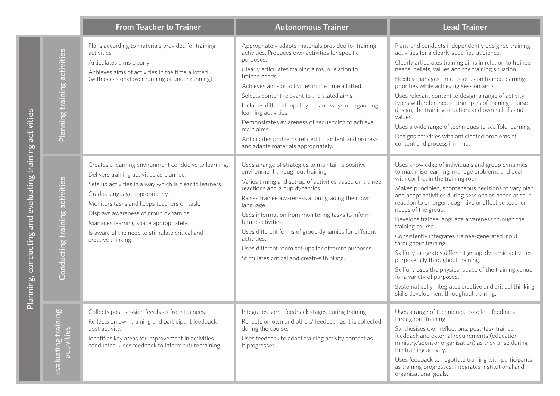- Inducts independently designed training a clearly specified audience.
- ulates training aims in relation to trainee fs, values and the training situation.
- ages time to focus on trainee learning nile achieving session aims.
- nt content to design a range of activity eference to principles of training course raining situation, and own beliefs and
- range of techniques to scaffold learning.
- vities with anticipated problems of process in mind.
- edge of individuals and group dynamics  $\theta$  learning, manage problems and deal  $\sin$  the training room.
- ipled, spontaneous decisions to vary plan ctivities during sessions as needs arise in mergent cognitive or affective teacher group.
- ainee language awareness through the se.
- integrates trainee-generated input raining.
- grates different group-dynamic activities throughout training.
- s the physical space of the training venue of purposes.
- Ily integrates creative and critical thinking pment throughout training.
- e of techniques to collect feedback training.
- own reflections, post-task trainee d external requirements (education onsor organisation) as they arise during activity.
- Ick to negotiate training with participants rogresses. Integrates institutional and al goals.

|                                           | <b>From Teacher to Trainer</b>                                                                                                                                                                                                                                                                                                                                                                         | <b>Autonomous Trainer</b>                                                                                                                                                                                                                                                                                                                                                                                                                                                                                                                        |                                                                                                                                                                                                                                                                                     |
|-------------------------------------------|--------------------------------------------------------------------------------------------------------------------------------------------------------------------------------------------------------------------------------------------------------------------------------------------------------------------------------------------------------------------------------------------------------|--------------------------------------------------------------------------------------------------------------------------------------------------------------------------------------------------------------------------------------------------------------------------------------------------------------------------------------------------------------------------------------------------------------------------------------------------------------------------------------------------------------------------------------------------|-------------------------------------------------------------------------------------------------------------------------------------------------------------------------------------------------------------------------------------------------------------------------------------|
| Planning training activities              | Plans according to materials provided for training<br>activities.<br>Articulates aims clearly.<br>Achieves aims of activities in the time allotted<br>(with occasional over running or under running).                                                                                                                                                                                                 | Appropriately adapts materials provided for training<br>activities. Produces own activities for specific<br>purposes.<br>Clearly articulates training aims in relation to<br>trainee needs.<br>Achieves aims of activities in the time allotted.<br>Selects content relevant to the stated aims.<br>Includes different input types and ways of organising<br>learning activities.<br>Demonstrates awareness of sequencing to achieve<br>main aims.<br>Anticipates problems related to content and process<br>and adapts materials appropriately. | Plans and co<br>activities for<br>Clearly articu<br>needs, belief<br>Flexibly man<br>priorities wh<br>Uses relevan<br>types with re<br>design, the t<br>values.<br>Uses a wide<br>Designs acti<br>content and                                                                       |
| activities<br>ning<br>Conducting tra      | Creates a learning environment conducive to learning.<br>Delivers training activities as planned.<br>Sets up activities in a way which is clear to learners.<br>Grades language appropriately.<br>Monitors tasks and keeps teachers on task.<br>Displays awareness of group dynamics.<br>Manages learning space appropriately.<br>Is aware of the need to stimulate critical and<br>creative thinking. | Uses a range of strategies to maintain a positive<br>environment throughout training.<br>Varies timing and set-up of activities based on trainee<br>reactions and group dynamics.<br>Raises trainee awareness about grading their own<br>language.<br>Uses information from monitoring tasks to inform<br>future activities.<br>Uses different forms of group dynamics for different<br>activities.<br>Uses different room set-ups for different purposes.<br>Stimulates critical and creative thinking.                                         | Uses knowle<br>to maximise<br>with conflict<br>Makes princ<br>and adapt ad<br>reaction to e<br>needs of the<br>Develops tra<br>training cour<br>Consistently<br>throughout t<br>Skilfully integ<br>purposefully<br>Skilfully uses<br>for a variety<br>Systematica<br>skills develop |
| $\frac{1}{2}$<br>activities<br>activities | Collects post-session feedback from trainees.<br>Reflects on own training and participant feedback<br>post activity.<br>Identifies key areas for improvement in activities<br>conducted. Uses feedback to inform future training.                                                                                                                                                                      | Integrates some feedback stages during training.<br>Reflects on own and others' feedback as it is collected<br>during the course.<br>Uses feedback to adapt training activity content as<br>it progresses.                                                                                                                                                                                                                                                                                                                                       | Uses a range<br>throughout t<br>Synthesises<br>feedback and<br>ministry/spo<br>the training a<br>Uses feedba<br>as training p<br>organisation                                                                                                                                       |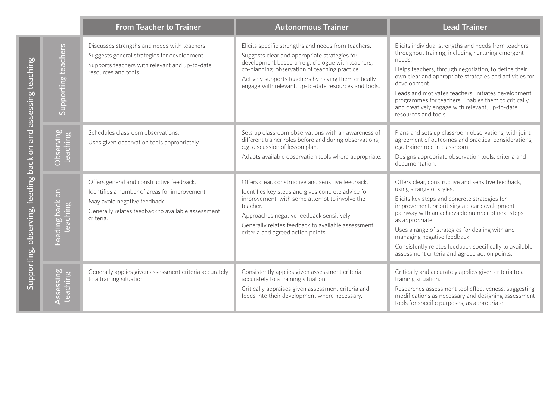|                                   |                                                                                            | <b>From Teacher to Trainer</b>                                                                                                                                                                | <b>Autonomous Trainer</b>                                                                                                                                                                                                                                                                                                    |                                                                                                                                                                                              |
|-----------------------------------|--------------------------------------------------------------------------------------------|-----------------------------------------------------------------------------------------------------------------------------------------------------------------------------------------------|------------------------------------------------------------------------------------------------------------------------------------------------------------------------------------------------------------------------------------------------------------------------------------------------------------------------------|----------------------------------------------------------------------------------------------------------------------------------------------------------------------------------------------|
| assessing teaching                | Supporting teachers                                                                        | Discusses strengths and needs with teachers.<br>Suggests general strategies for development.<br>Supports teachers with relevant and up-to-date<br>resources and tools.                        | Elicits specific strengths and needs from teachers.<br>Suggests clear and appropriate strategies for<br>development based on e.g. dialogue with teachers,<br>co-planning, observation of teaching practice.<br>Actively supports teachers by having them critically<br>engage with relevant, up-to-date resources and tools. | Elicits individua<br>throughout trail<br>needs.<br>Helps teachers,<br>own clear and a<br>development.<br>Leads and moti<br>programmes fo<br>and creatively e<br>resources and t              |
| back on and                       | Observing<br>teaching                                                                      | Schedules classroom observations.<br>Uses given observation tools appropriately.                                                                                                              | Sets up classroom observations with an awareness of<br>different trainer roles before and during observations,<br>e.g. discussion of lesson plan.<br>Adapts available observation tools where appropriate.                                                                                                                   | Plans and sets u<br>agreement of o<br>e.g. trainer role<br>Designs approp<br>documentation                                                                                                   |
| feeding<br>Supporting, observing, | $\overline{5}$<br>back<br>hing<br>$\overline{\mathbf{C}}$<br>$\frac{8}{10}$<br>tea<br>Feed | Offers general and constructive feedback.<br>Identifies a number of areas for improvement.<br>May avoid negative feedback.<br>Generally relates feedback to available assessment<br>criteria. | Offers clear, constructive and sensitive feedback.<br>Identifies key steps and gives concrete advice for<br>improvement, with some attempt to involve the<br>teacher.<br>Approaches negative feedback sensitively.<br>Generally relates feedback to available assessment<br>criteria and agreed action points.               | Offers clear, cor<br>using a range of<br>Elicits key steps<br>improvement, p<br>pathway with a<br>as appropriate.<br>Uses a range of<br>managing nega<br>Consistently rel<br>assessment crit |
|                                   | Assessing<br>teaching                                                                      | Generally applies given assessment criteria accurately<br>to a training situation.                                                                                                            | Consistently applies given assessment criteria<br>accurately to a training situation.<br>Critically appraises given assessment criteria and<br>feeds into their development where necessary.                                                                                                                                 | Critically and a<br>training situatic<br>Researches ass<br>modifications a<br>tools for specifi                                                                                              |

idual strengths and needs from teachers training, including nurturing emergent

ners, through negotiation, to define their nd appropriate strategies and activities for nt.

notivates teachers. Initiates development es for teachers. Enables them to critically ely engage with relevant, up-to-date nd tools.

ets up classroom observations, with joint of outcomes and practical considerations, role in classroom.

propriate observation tools, criteria and tion.

constructive and sensitive feedback, ge of styles.

teps and concrete strategies for nt, prioritising a clear development th an achievable number of next steps ate.

ge of strategies for dealing with and egative feedback.

y relates feedback specifically to available criteria and agreed action points.

nd accurately applies given criteria to a ation.

assessment tool effectiveness, suggesting  $\frac{1}{10}$  as necessary and designing assessment ecific purposes, as appropriate.